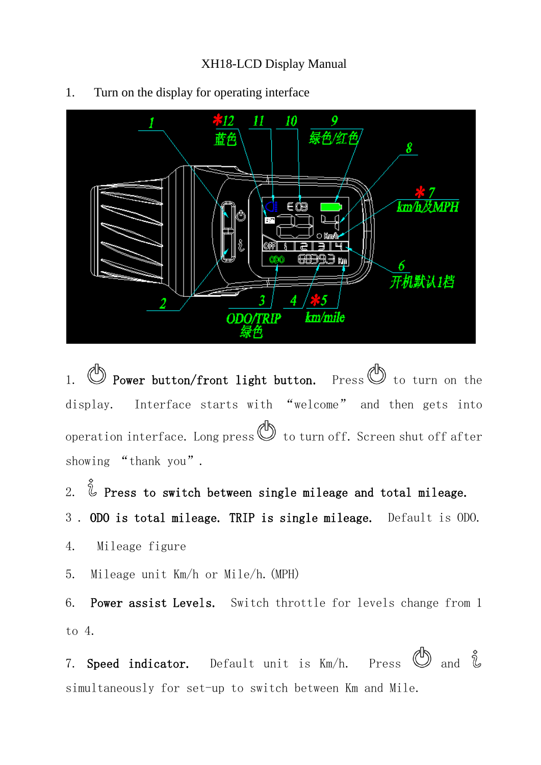

1. Turn on the display for operating interface

1.  $\mathbb{D}$  Power button/front light button. Press  $\mathbb{D}$  to turn on the display. Interface starts with "welcome" and then gets into operation interface. Long press  $\bigcircled{b}$  to turn off. Screen shut off after showing "thank you".

2.  $\check{\mathbb{Q}}$  Press to switch between single mileage and total mileage.

3 . ODO is total mileage. TRIP is single mileage. Default is ODO.

4. Mileage figure

5. Mileage unit Km/h or Mile/h.(MPH)

6. Power assist Levels. Switch throttle for levels change from 1 to 4.

7. Speed indicator. Default unit is  $Km/h$ . Press  $\bigcirc$  and  $\mathring{\mathcal{L}}$ simultaneously for set-up to switch between Km and Mile.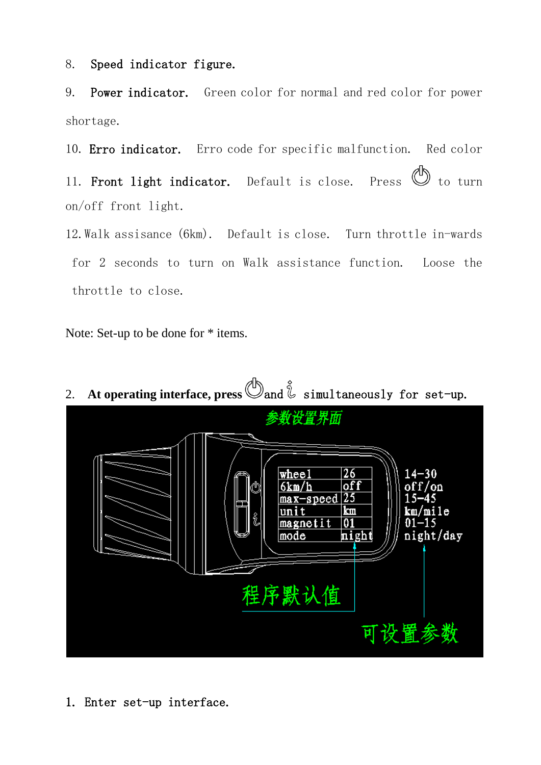8. Speed indicator figure.

9. Power indicator. Green color for normal and red color for power shortage.

10. Erro indicator. Erro code for specific malfunction. Red color

11. Front light indicator. Default is close. Press  $\mathbb{O}$  to turn on/off front light.

12.Walk assisance (6km). Default is close. Turn throttle in-wards for 2 seconds to turn on Walk assistance function. Loose the throttle to close.

Note: Set-up to be done for \* items.



2. At operating interface, press  $\mathbb{S}_{\text{and}}\hat{\mathbb{C}}$  simultaneously for set-up.

1. Enter set-up interface.